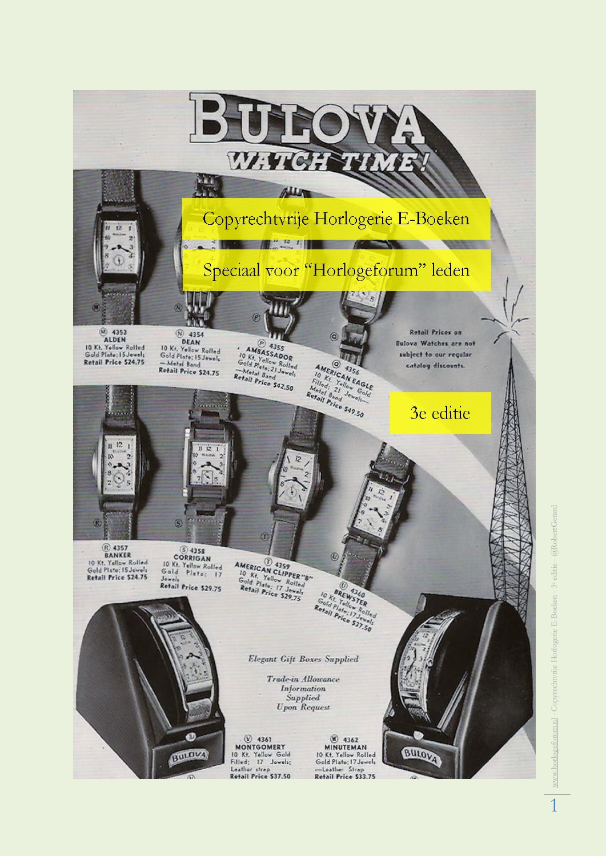

forum.nl - Copyrechtvrije Horlogerie E-Boeken - 3<sup>e</sup> editie - @RobertGerard www.horlogeforum.nl - Copyrechtvrije Horlogerie E-Boeken - 3e editie - @RobertGerard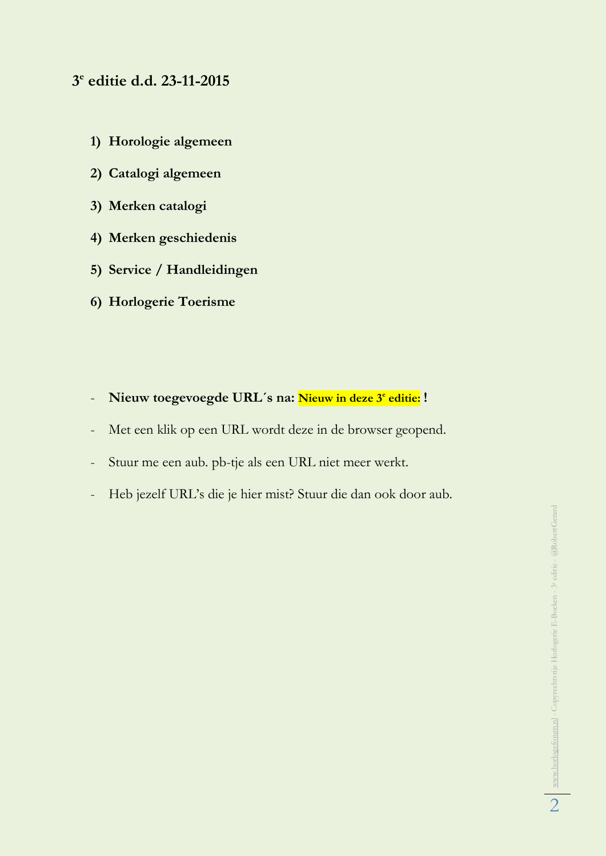# **3 e editie d.d. 23-11-2015**

- **1) Horologie algemeen**
- **2) Catalogi algemeen**
- **3) Merken catalogi**
- **4) Merken geschiedenis**
- **5) Service / Handleidingen**
- **6) Horlogerie Toerisme**
- **Nieuw toegevoegde URL´s na: Nieuw in deze 3<sup>e</sup> editie: !**
- Met een klik op een URL wordt deze in de browser geopend.
- Stuur me een aub. pb-tje als een URL niet meer werkt.
- Heb jezelf URL's die je hier mist? Stuur die dan ook door aub.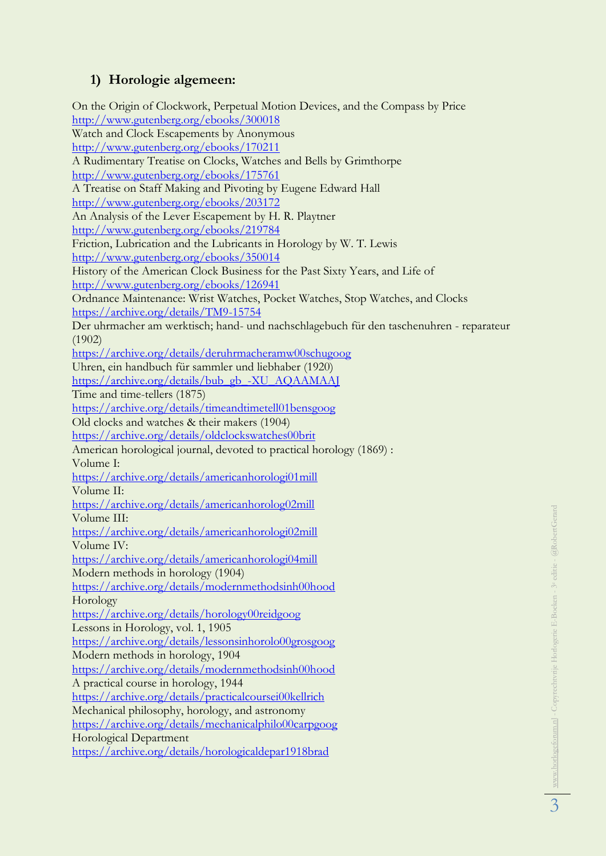## **1) Horologie algemeen:**

On the Origin of Clockwork, Perpetual Motion Devices, and the Compass by Price <http://www.gutenberg.org/ebooks/300018> Watch and Clock Escapements by Anonymous <http://www.gutenberg.org/ebooks/170211> A Rudimentary Treatise on Clocks, Watches and Bells by Grimthorpe <http://www.gutenberg.org/ebooks/175761> A Treatise on Staff Making and Pivoting by Eugene Edward Hall <http://www.gutenberg.org/ebooks/203172> An Analysis of the Lever Escapement by H. R. Playtner <http://www.gutenberg.org/ebooks/219784> Friction, Lubrication and the Lubricants in Horology by W. T. Lewis <http://www.gutenberg.org/ebooks/350014> History of the American Clock Business for the Past Sixty Years, and Life of <http://www.gutenberg.org/ebooks/126941> Ordnance Maintenance: Wrist Watches, Pocket Watches, Stop Watches, and Clocks <https://archive.org/details/TM9-15754> Der uhrmacher am werktisch; hand- und nachschlagebuch für den taschenuhren - reparateur (1902) <https://archive.org/details/deruhrmacheramw00schugoog> Uhren, ein handbuch für sammler und liebhaber (1920) [https://archive.org/details/bub\\_gb\\_-XU\\_AQAAMAAJ](https://archive.org/details/bub_gb_-XU_AQAAMAAJ) Time and time-tellers (1875) <https://archive.org/details/timeandtimetell01bensgoog> Old clocks and watches & their makers (1904) <https://archive.org/details/oldclockswatches00brit> American horological journal, devoted to practical horology (1869) : Volume I: <https://archive.org/details/americanhorologi01mill> Volume II: <https://archive.org/details/americanhorolog02mill> Volume III: <https://archive.org/details/americanhorologi02mill> Volume IV: <https://archive.org/details/americanhorologi04mill> Modern methods in horology (1904) <https://archive.org/details/modernmethodsinh00hood> Horology <https://archive.org/details/horology00reidgoog> Lessons in Horology, vol. 1, 1905 <https://archive.org/details/lessonsinhorolo00grosgoog> Modern methods in horology, 1904 <https://archive.org/details/modernmethodsinh00hood> A practical course in horology, 1944 <https://archive.org/details/practicalcoursei00kellrich> Mechanical philosophy, horology, and astronomy <https://archive.org/details/mechanicalphilo00carpgoog> Horological Department <https://archive.org/details/horologicaldepar1918brad>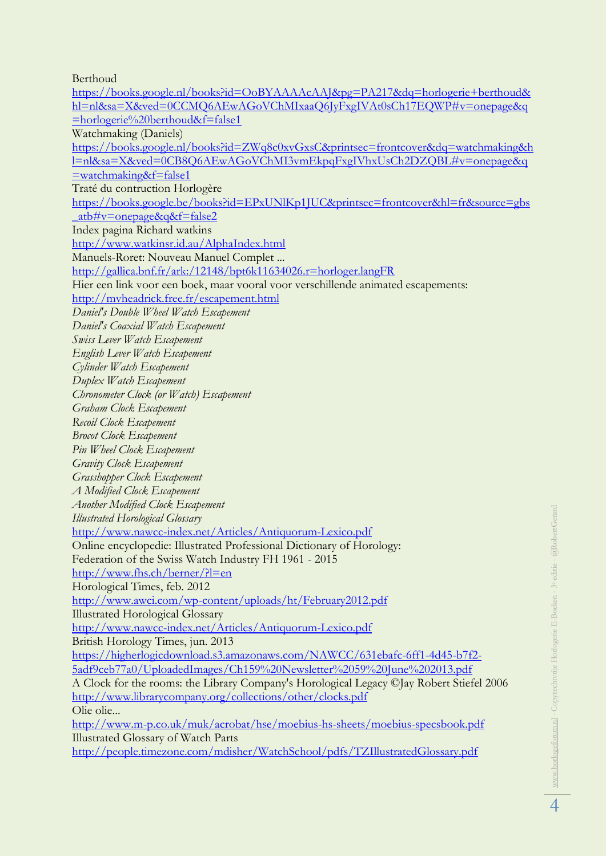Berthoud

[https://books.google.nl/books?id=OoBYAAAAcAAJ&pg=PA217&dq=horlogerie+berthoud&](https://books.google.nl/books?id=OoBYAAAAcAAJ&pg=PA217&dq=horlogerie+berthoud&hl=nl&sa=X&ved=0CCMQ6AEwAGoVChMIxaaQ6JyFxgIVAt0sCh17EQWP#v=onepage&q=horlogerie%20berthoud&f=false1) [hl=nl&sa=X&ved=0CCMQ6AEwAGoVChMIxaaQ6JyFxgIVAt0sCh17EQWP#v=onepage&q](https://books.google.nl/books?id=OoBYAAAAcAAJ&pg=PA217&dq=horlogerie+berthoud&hl=nl&sa=X&ved=0CCMQ6AEwAGoVChMIxaaQ6JyFxgIVAt0sCh17EQWP#v=onepage&q=horlogerie%20berthoud&f=false1) [=horlogerie%20berthoud&f=false1](https://books.google.nl/books?id=OoBYAAAAcAAJ&pg=PA217&dq=horlogerie+berthoud&hl=nl&sa=X&ved=0CCMQ6AEwAGoVChMIxaaQ6JyFxgIVAt0sCh17EQWP#v=onepage&q=horlogerie%20berthoud&f=false1) Watchmaking (Daniels) [https://books.google.nl/books?id=ZWq8c0xvGxsC&printsec=frontcover&dq=watchmaking&h](https://books.google.nl/books?id=ZWq8c0xvGxsC&printsec=frontcover&dq=watchmaking&hl=nl&sa=X&ved=0CB8Q6AEwAGoVChMI3vmEkpqFxgIVhxUsCh2DZQBL#v=onepage&q=watchmaking&f=false1) [l=nl&sa=X&ved=0CB8Q6AEwAGoVChMI3vmEkpqFxgIVhxUsCh2DZQBL#v=onepage&q](https://books.google.nl/books?id=ZWq8c0xvGxsC&printsec=frontcover&dq=watchmaking&hl=nl&sa=X&ved=0CB8Q6AEwAGoVChMI3vmEkpqFxgIVhxUsCh2DZQBL#v=onepage&q=watchmaking&f=false1) [=watchmaking&f=false1](https://books.google.nl/books?id=ZWq8c0xvGxsC&printsec=frontcover&dq=watchmaking&hl=nl&sa=X&ved=0CB8Q6AEwAGoVChMI3vmEkpqFxgIVhxUsCh2DZQBL#v=onepage&q=watchmaking&f=false1) Traté du contruction Horlogère [https://books.google.be/books?id=EPxUNlKp1JUC&printsec=frontcover&hl=fr&source=gbs](https://books.google.be/books?id=EPxUNlKp1JUC&printsec=frontcover&hl=fr&source=gbs_atb#v=onepage&q&f=false2)  $atb\#v=onepage\&q\&f=false2$ Index pagina Richard watkins <http://www.watkinsr.id.au/AlphaIndex.html> Manuels-Roret: Nouveau Manuel Complet ... <http://gallica.bnf.fr/ark:/12148/bpt6k11634026.r=horloger.langFR> Hier een link voor een boek, maar vooral voor verschillende animated escapements: <http://mvheadrick.free.fr/escapement.html> *Daniel's Double Wheel Watch Escapement Daniel's Coaxial Watch Escapement Swiss Lever Watch Escapement English Lever Watch Escapement Cylinder Watch Escapement Duplex Watch Escapement Chronometer Clock (or Watch) Escapement Graham Clock Escapement Recoil Clock Escapement Brocot Clock Escapement Pin Wheel Clock Escapement Gravity Clock Escapement Grasshopper Clock Escapement A Modified Clock Escapement Another Modified Clock Escapement Illustrated Horological Glossary* <http://www.nawcc-index.net/Articles/Antiquorum-Lexico.pdf> Online encyclopedie: Illustrated Professional Dictionary of Horology: Federation of the Swiss Watch Industry FH 1961 - 2015 <http://www.fhs.ch/berner/?l=en> Horological Times, feb. 2012 <http://www.awci.com/wp-content/uploads/ht/February2012.pdf> Illustrated Horological Glossary <http://www.nawcc-index.net/Articles/Antiquorum-Lexico.pdf> British Horology Times, jun. 2013 [https://higherlogicdownload.s3.amazonaws.com/NAWCC/631ebafc-6ff1-4d45-b7f2-](https://higherlogicdownload.s3.amazonaws.com/NAWCC/631ebafc-6ff1-4d45-b7f2-5adf9ceb77a0/UploadedImages/Ch159%20Newsletter%2059%20June%202013.pdf) [5adf9ceb77a0/UploadedImages/Ch159%20Newsletter%2059%20June%202013.pdf](https://higherlogicdownload.s3.amazonaws.com/NAWCC/631ebafc-6ff1-4d45-b7f2-5adf9ceb77a0/UploadedImages/Ch159%20Newsletter%2059%20June%202013.pdf) A Clock for the rooms: the Library Company's Horological Legacy ©Jay Robert Stiefel 2006 <http://www.librarycompany.org/collections/other/clocks.pdf> Olie olie... <http://www.m-p.co.uk/muk/acrobat/hse/moebius-hs-sheets/moebius-specsbook.pdf> Illustrated Glossary of Watch Parts <http://people.timezone.com/mdisher/WatchSchool/pdfs/TZIllustratedGlossary.pdf>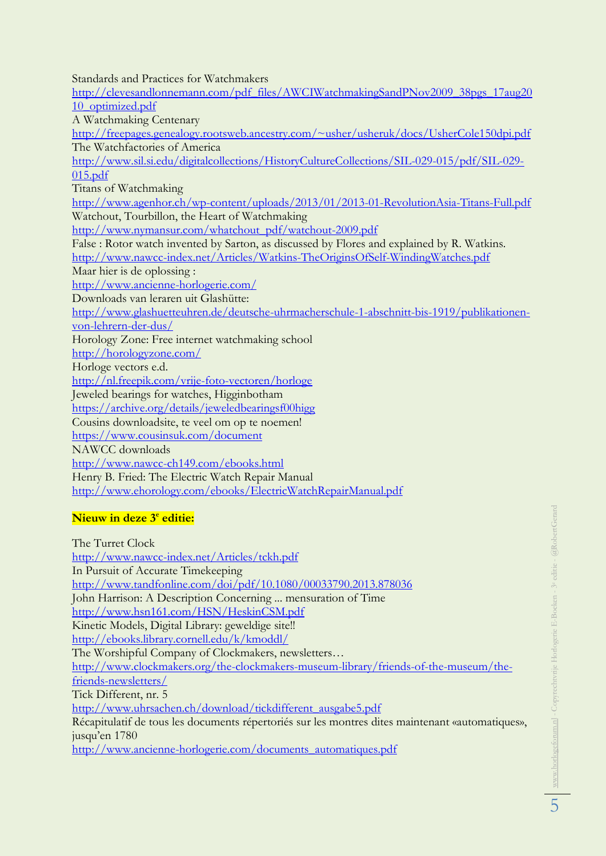Standards and Practices for Watchmakers

[http://clevesandlonnemann.com/pdf\\_files/AWCIWatchmakingSandPNov2009\\_38pgs\\_17aug20](http://clevesandlonnemann.com/pdf_files/AWCIWatchmakingSandPNov2009_38pgs_17aug2010_optimized.pdf) [10\\_optimized.pdf](http://clevesandlonnemann.com/pdf_files/AWCIWatchmakingSandPNov2009_38pgs_17aug2010_optimized.pdf) A Watchmaking Centenary <http://freepages.genealogy.rootsweb.ancestry.com/~usher/usheruk/docs/UsherCole150dpi.pdf> The Watchfactories of America [http://www.sil.si.edu/digitalcollections/HistoryCultureCollections/SIL-029-015/pdf/SIL-029-](http://www.sil.si.edu/digitalcollections/HistoryCultureCollections/SIL-029-015/pdf/SIL-029-015.pdf) [015.pdf](http://www.sil.si.edu/digitalcollections/HistoryCultureCollections/SIL-029-015/pdf/SIL-029-015.pdf) Titans of Watchmaking <http://www.agenhor.ch/wp-content/uploads/2013/01/2013-01-RevolutionAsia-Titans-Full.pdf> Watchout, Tourbillon, the Heart of Watchmaking [http://www.nymansur.com/whatchout\\_pdf/watchout-2009.pdf](http://www.nymansur.com/whatchout_pdf/watchout-2009.pdf) False : Rotor watch invented by Sarton, as discussed by Flores and explained by R. Watkins. <http://www.nawcc-index.net/Articles/Watkins-TheOriginsOfSelf-WindingWatches.pdf> Maar hier is de oplossing : <http://www.ancienne-horlogerie.com/> Downloads van leraren uit Glashütte: [http://www.glashuetteuhren.de/deutsche-uhrmacherschule-1-abschnitt-bis-1919/publikationen](http://www.glashuetteuhren.de/deutsche-uhrmacherschule-1-abschnitt-bis-1919/publikationen-von-lehrern-der-dus/)[von-lehrern-der-dus/](http://www.glashuetteuhren.de/deutsche-uhrmacherschule-1-abschnitt-bis-1919/publikationen-von-lehrern-der-dus/) Horology Zone: Free internet watchmaking school <http://horologyzone.com/> Horloge vectors e.d. <http://nl.freepik.com/vrije-foto-vectoren/horloge> Jeweled bearings for watches, Higginbotham <https://archive.org/details/jeweledbearingsf00higg> Cousins downloadsite, te veel om op te noemen! <https://www.cousinsuk.com/document> NAWCC downloads <http://www.nawcc-ch149.com/ebooks.html> Henry B. Fried: The Electric Watch Repair Manual <http://www.ehorology.com/ebooks/ElectricWatchRepairManual.pdf> **Nieuw in deze 3<sup>e</sup> editie:**

The Turret Clock <http://www.nawcc-index.net/Articles/tckh.pdf> In Pursuit of Accurate Timekeeping <http://www.tandfonline.com/doi/pdf/10.1080/00033790.2013.878036> John Harrison: A Description Concerning ... mensuration of Time <http://www.hsn161.com/HSN/HeskinCSM.pdf> Kinetic Models, Digital Library: geweldige site!! <http://ebooks.library.cornell.edu/k/kmoddl/> The Worshipful Company of Clockmakers, newsletters… [http://www.clockmakers.org/the-clockmakers-museum-library/friends-of-the-museum/the](http://www.clockmakers.org/the-clockmakers-museum-library/friends-of-the-museum/the-friends-newsletters/)[friends-newsletters/](http://www.clockmakers.org/the-clockmakers-museum-library/friends-of-the-museum/the-friends-newsletters/) Tick Different, nr. 5 [http://www.uhrsachen.ch/download/tickdifferent\\_ausgabe5.pdf](http://www.uhrsachen.ch/download/tickdifferent_ausgabe5.pdf) Récapitulatif de tous les documents répertoriés sur les montres dites maintenant «automatiques», jusqu'en 1780 [http://www.ancienne-horlogerie.com/documents\\_automatiques.pdf](http://www.ancienne-horlogerie.com/documents_automatiques.pdf)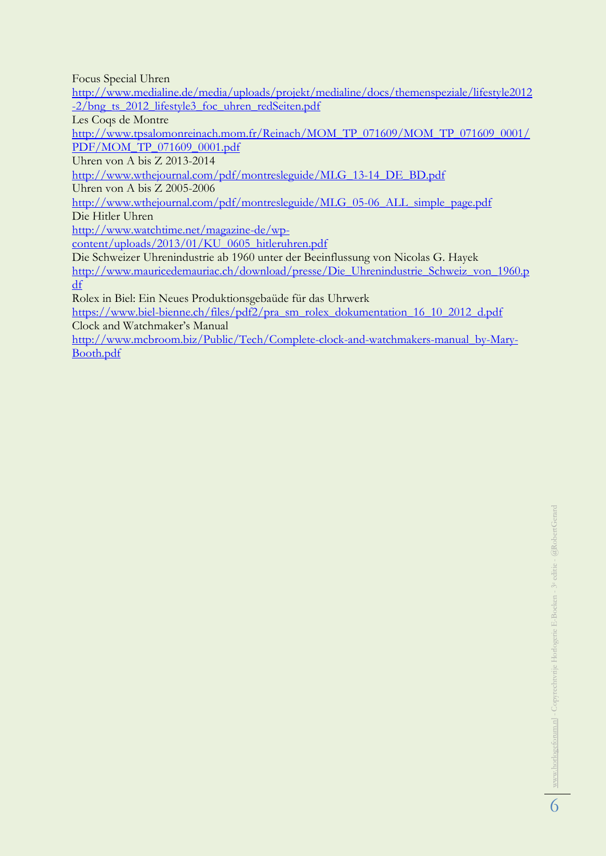Focus Special Uhren

[http://www.medialine.de/media/uploads/projekt/medialine/docs/themenspeziale/lifestyle2012](http://www.medialine.de/media/uploads/projekt/medialine/docs/themenspeziale/lifestyle2012-2/bng_ts_2012_lifestyle3_foc_uhren_redSeiten.pdf) [-2/bng\\_ts\\_2012\\_lifestyle3\\_foc\\_uhren\\_redSeiten.pdf](http://www.medialine.de/media/uploads/projekt/medialine/docs/themenspeziale/lifestyle2012-2/bng_ts_2012_lifestyle3_foc_uhren_redSeiten.pdf)

Les Coqs de Montre

[http://www.tpsalomonreinach.mom.fr/Reinach/MOM\\_TP\\_071609/MOM\\_TP\\_071609\\_0001/](http://www.tpsalomonreinach.mom.fr/Reinach/MOM_TP_071609/MOM_TP_071609_0001/PDF/MOM_TP_071609_0001.pdf) [PDF/MOM\\_TP\\_071609\\_0001.pdf](http://www.tpsalomonreinach.mom.fr/Reinach/MOM_TP_071609/MOM_TP_071609_0001/PDF/MOM_TP_071609_0001.pdf)

Uhren von A bis Z 2013-2014

[http://www.wthejournal.com/pdf/montresleguide/MLG\\_13-14\\_DE\\_BD.pdf](http://www.wthejournal.com/pdf/montresleguide/MLG_13-14_DE_BD.pdf)

Uhren von A bis Z 2005-2006

[http://www.wthejournal.com/pdf/montresleguide/MLG\\_05-06\\_ALL\\_simple\\_page.pdf](http://www.wthejournal.com/pdf/montresleguide/MLG_05-06_ALL_simple_page.pdf) Die Hitler Uhren

[http://www.watchtime.net/magazine-de/wp-](http://www.watchtime.net/magazine-de/wp-content/uploads/2013/01/KU_0605_hitleruhren.pdf)

[content/uploads/2013/01/KU\\_0605\\_hitleruhren.pdf](http://www.watchtime.net/magazine-de/wp-content/uploads/2013/01/KU_0605_hitleruhren.pdf)

Die Schweizer Uhrenindustrie ab 1960 unter der Beeinflussung von Nicolas G. Hayek

[http://www.mauricedemauriac.ch/download/presse/Die\\_Uhrenindustrie\\_Schweiz\\_von\\_1960.p](http://www.mauricedemauriac.ch/download/presse/Die_Uhrenindustrie_Schweiz_von_1960.pdf) [df](http://www.mauricedemauriac.ch/download/presse/Die_Uhrenindustrie_Schweiz_von_1960.pdf)

Rolex in Biel: Ein Neues Produktionsgebaüde für das Uhrwerk

[https://www.biel-bienne.ch/files/pdf2/pra\\_sm\\_rolex\\_dokumentation\\_16\\_10\\_2012\\_d.pdf](https://www.biel-bienne.ch/files/pdf2/pra_sm_rolex_dokumentation_16_10_2012_d.pdf) Clock and Watchmaker's Manual

[http://www.mcbroom.biz/Public/Tech/Complete-clock-and-watchmakers-manual\\_by-Mary-](http://www.mcbroom.biz/Public/Tech/Complete-clock-and-watchmakers-manual_by-Mary-Booth.pdf)[Booth.pdf](http://www.mcbroom.biz/Public/Tech/Complete-clock-and-watchmakers-manual_by-Mary-Booth.pdf)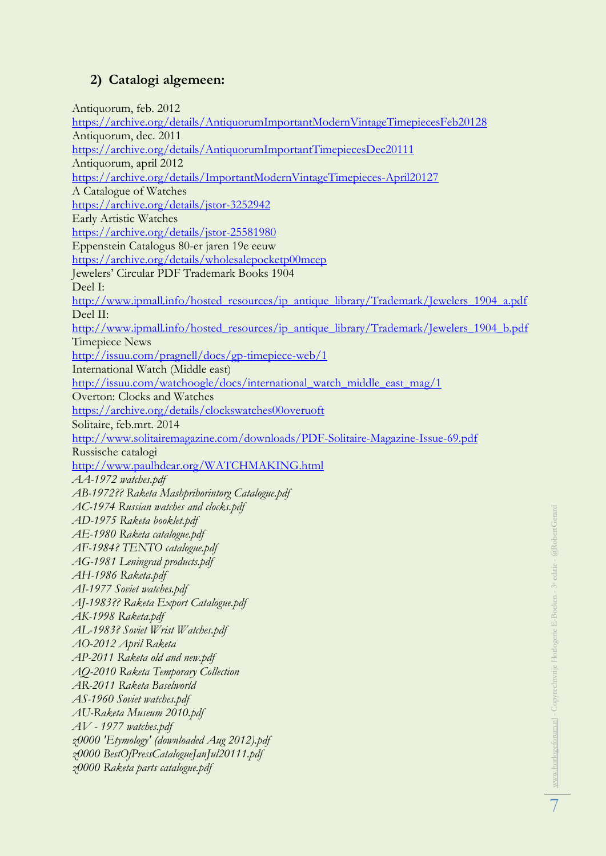# **2) Catalogi algemeen:**

Antiquorum, feb. 2012 <https://archive.org/details/AntiquorumImportantModernVintageTimepiecesFeb20128> Antiquorum, dec. 2011 <https://archive.org/details/AntiquorumImportantTimepiecesDec20111> Antiquorum, april 2012 <https://archive.org/details/ImportantModernVintageTimepieces-April20127> A Catalogue of Watches <https://archive.org/details/jstor-3252942> Early Artistic Watches <https://archive.org/details/jstor-25581980> Eppenstein Catalogus 80-er jaren 19e eeuw <https://archive.org/details/wholesalepocketp00mcep> Jewelers' Circular PDF Trademark Books 1904 Deel I: [http://www.ipmall.info/hosted\\_resources/ip\\_antique\\_library/Trademark/Jewelers\\_1904\\_a.pdf](http://www.ipmall.info/hosted_resources/ip_antique_library/Trademark/Jewelers_1904_a.pdf) Deel II: [http://www.ipmall.info/hosted\\_resources/ip\\_antique\\_library/Trademark/Jewelers\\_1904\\_b.pdf](http://www.ipmall.info/hosted_resources/ip_antique_library/Trademark/Jewelers_1904_b.pdf) Timepiece News <http://issuu.com/pragnell/docs/gp-timepiece-web/1> International Watch (Middle east) [http://issuu.com/watchoogle/docs/international\\_watch\\_middle\\_east\\_mag/1](http://issuu.com/watchoogle/docs/international_watch_middle_east_mag/1) Overton: Clocks and Watches <https://archive.org/details/clockswatches00overuoft> Solitaire, feb.mrt. 2014 <http://www.solitairemagazine.com/downloads/PDF-Solitaire-Magazine-Issue-69.pdf> Russische catalogi <http://www.paulhdear.org/WATCHMAKING.html> *AA-1972 watches.pdf AB-1972?? Raketa Mashpriborintorg Catalogue.pdf AC-1974 Russian watches and clocks.pdf AD-1975 Raketa booklet.pdf AE-1980 Raketa catalogue.pdf AF-1984? TENTO catalogue.pdf AG-1981 Leningrad products.pdf AH-1986 Raketa.pdf AI-1977 Soviet watches.pdf AJ-1983?? Raketa Export Catalogue.pdf AK-1998 Raketa.pdf AL-1983? Soviet Wrist Watches.pdf AO-2012 April Raketa AP-2011 Raketa old and new.pdf AQ-2010 Raketa Temporary Collection AR-2011 Raketa Baselworld AS-1960 Soviet watches.pdf AU-Raketa Museum 2010.pdf AV - 1977 watches.pdf z0000 'Etymology' (downloaded Aug 2012).pdf z0000 BestOfPressCatalogueJanJul20111.pdf z0000 Raketa parts catalogue.pdf*

7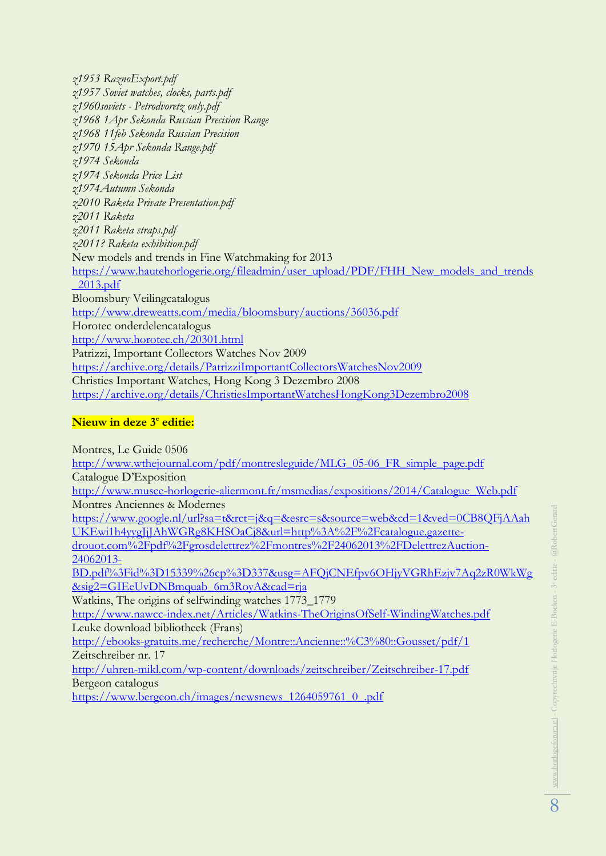*z1957 Soviet watches, clocks, parts.pdf z1960soviets - Petrodvoretz only.pdf z1968 1Apr Sekonda Russian Precision Range z1968 11feb Sekonda Russian Precision z1970 15Apr Sekonda Range.pdf z1974 Sekonda z1974 Sekonda Price List z1974Autumn Sekonda z2010 Raketa Private Presentation.pdf z2011 Raketa z2011 Raketa straps.pdf z2011? Raketa exhibition.pdf* New models and trends in Fine Watchmaking for 2013 [https://www.hautehorlogerie.org/fileadmin/user\\_upload/PDF/FHH\\_New\\_models\\_and\\_trends](https://www.hautehorlogerie.org/fileadmin/user_upload/PDF/FHH_New_models_and_trends_2013.pdf) [\\_2013.pdf](https://www.hautehorlogerie.org/fileadmin/user_upload/PDF/FHH_New_models_and_trends_2013.pdf) Bloomsbury Veilingcatalogus <http://www.dreweatts.com/media/bloomsbury/auctions/36036.pdf> Horotec onderdelencatalogus <http://www.horotec.ch/20301.html> Patrizzi, Important Collectors Watches Nov 2009 <https://archive.org/details/PatrizziImportantCollectorsWatchesNov2009> Christies Important Watches, Hong Kong 3 Dezembro 2008 <https://archive.org/details/ChristiesImportantWatchesHongKong3Dezembro2008>

#### **Nieuw in deze 3<sup>e</sup> editie:**

*z1953 RaznoExport.pdf*

Montres, Le Guide 0506 [http://www.wthejournal.com/pdf/montresleguide/MLG\\_05-06\\_FR\\_simple\\_page.pdf](http://www.wthejournal.com/pdf/montresleguide/MLG_05-06_FR_simple_page.pdf) Catalogue D'Exposition [http://www.musee-horlogerie-aliermont.fr/msmedias/expositions/2014/Catalogue\\_Web.pdf](http://www.musee-horlogerie-aliermont.fr/msmedias/expositions/2014/Catalogue_Web.pdf) Montres Anciennes & Modernes [https://www.google.nl/url?sa=t&rct=j&q=&esrc=s&source=web&cd=1&ved=0CB8QFjAAah](https://www.google.nl/url?sa=t&rct=j&q=&esrc=s&source=web&cd=1&ved=0CB8QFjAAahUKEwi1h4yygJjJAhWGRg8KHSOaCj8&url=http%3A%2F%2Fcatalogue.gazette-drouot.com%2Fpdf%2Fgrosdelettrez%2Fmontres%2F24062013%2FDelettrezAuction-24062013-BD.pdf%3Fid%3D15339%26cp%3D337&usg=AFQjCNEfpv6OHjyVGRhEzjv7Aq2zR0WkWg&sig2=GIEeUvDNBmquab_6m3RoyA&cad=rja) [UKEwi1h4yygJjJAhWGRg8KHSOaCj8&url=http%3A%2F%2Fcatalogue.gazette](https://www.google.nl/url?sa=t&rct=j&q=&esrc=s&source=web&cd=1&ved=0CB8QFjAAahUKEwi1h4yygJjJAhWGRg8KHSOaCj8&url=http%3A%2F%2Fcatalogue.gazette-drouot.com%2Fpdf%2Fgrosdelettrez%2Fmontres%2F24062013%2FDelettrezAuction-24062013-BD.pdf%3Fid%3D15339%26cp%3D337&usg=AFQjCNEfpv6OHjyVGRhEzjv7Aq2zR0WkWg&sig2=GIEeUvDNBmquab_6m3RoyA&cad=rja)[drouot.com%2Fpdf%2Fgrosdelettrez%2Fmontres%2F24062013%2FDelettrezAuction-](https://www.google.nl/url?sa=t&rct=j&q=&esrc=s&source=web&cd=1&ved=0CB8QFjAAahUKEwi1h4yygJjJAhWGRg8KHSOaCj8&url=http%3A%2F%2Fcatalogue.gazette-drouot.com%2Fpdf%2Fgrosdelettrez%2Fmontres%2F24062013%2FDelettrezAuction-24062013-BD.pdf%3Fid%3D15339%26cp%3D337&usg=AFQjCNEfpv6OHjyVGRhEzjv7Aq2zR0WkWg&sig2=GIEeUvDNBmquab_6m3RoyA&cad=rja)[24062013-](https://www.google.nl/url?sa=t&rct=j&q=&esrc=s&source=web&cd=1&ved=0CB8QFjAAahUKEwi1h4yygJjJAhWGRg8KHSOaCj8&url=http%3A%2F%2Fcatalogue.gazette-drouot.com%2Fpdf%2Fgrosdelettrez%2Fmontres%2F24062013%2FDelettrezAuction-24062013-BD.pdf%3Fid%3D15339%26cp%3D337&usg=AFQjCNEfpv6OHjyVGRhEzjv7Aq2zR0WkWg&sig2=GIEeUvDNBmquab_6m3RoyA&cad=rja) [BD.pdf%3Fid%3D15339%26cp%3D337&usg=AFQjCNEfpv6OHjyVGRhEzjv7Aq2zR0WkWg](https://www.google.nl/url?sa=t&rct=j&q=&esrc=s&source=web&cd=1&ved=0CB8QFjAAahUKEwi1h4yygJjJAhWGRg8KHSOaCj8&url=http%3A%2F%2Fcatalogue.gazette-drouot.com%2Fpdf%2Fgrosdelettrez%2Fmontres%2F24062013%2FDelettrezAuction-24062013-BD.pdf%3Fid%3D15339%26cp%3D337&usg=AFQjCNEfpv6OHjyVGRhEzjv7Aq2zR0WkWg&sig2=GIEeUvDNBmquab_6m3RoyA&cad=rja) [&sig2=GIEeUvDNBmquab\\_6m3RoyA&cad=rja](https://www.google.nl/url?sa=t&rct=j&q=&esrc=s&source=web&cd=1&ved=0CB8QFjAAahUKEwi1h4yygJjJAhWGRg8KHSOaCj8&url=http%3A%2F%2Fcatalogue.gazette-drouot.com%2Fpdf%2Fgrosdelettrez%2Fmontres%2F24062013%2FDelettrezAuction-24062013-BD.pdf%3Fid%3D15339%26cp%3D337&usg=AFQjCNEfpv6OHjyVGRhEzjv7Aq2zR0WkWg&sig2=GIEeUvDNBmquab_6m3RoyA&cad=rja) Watkins, The origins of selfwinding watches 1773\_1779 <http://www.nawcc-index.net/Articles/Watkins-TheOriginsOfSelf-WindingWatches.pdf> Leuke download bibliotheek (Frans) <http://ebooks-gratuits.me/recherche/Montre::Ancienne::%C3%80::Gousset/pdf/1> Zeitschreiber nr. 17 <http://uhren-mikl.com/wp-content/downloads/zeitschreiber/Zeitschreiber-17.pdf> Bergeon catalogus [https://www.bergeon.ch/images/newsnews\\_1264059761\\_0\\_.pdf](https://www.bergeon.ch/images/newsnews_1264059761_0_.pdf)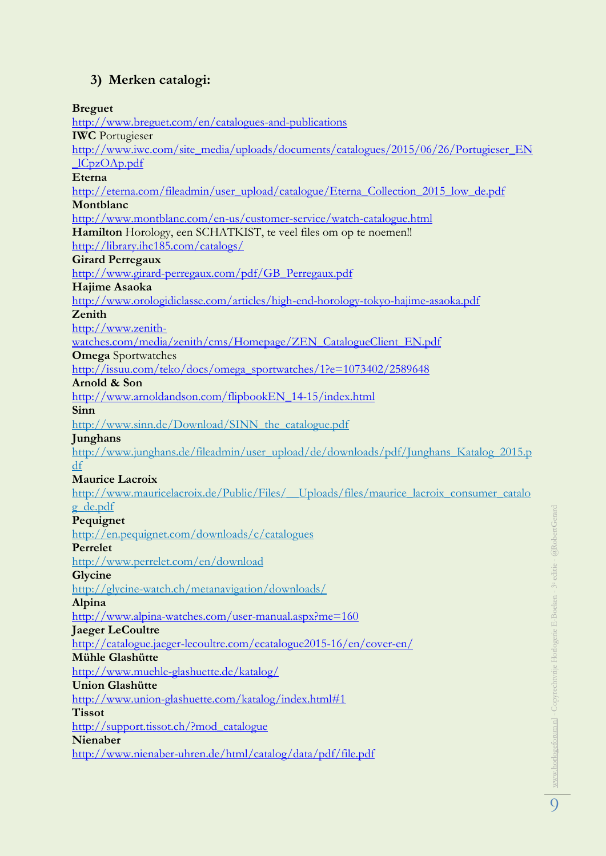# **3) Merken catalogi:**

**Breguet** <http://www.breguet.com/en/catalogues-and-publications> **IWC** Portugieser [http://www.iwc.com/site\\_media/uploads/documents/catalogues/2015/06/26/Portugieser\\_EN](http://www.iwc.com/site_media/uploads/documents/catalogues/2015/06/26/Portugieser_EN_lCpzOAp.pdf) [\\_lCpzOAp.pdf](http://www.iwc.com/site_media/uploads/documents/catalogues/2015/06/26/Portugieser_EN_lCpzOAp.pdf) **Eterna** [http://eterna.com/fileadmin/user\\_upload/catalogue/Eterna\\_Collection\\_2015\\_low\\_de.pdf](http://eterna.com/fileadmin/user_upload/catalogue/Eterna_Collection_2015_low_de.pdf) **Montblanc** <http://www.montblanc.com/en-us/customer-service/watch-catalogue.html> **Hamilton** Horology, een SCHATKIST, te veel files om op te noemen!! <http://library.ihc185.com/catalogs/> **Girard Perregaux** [http://www.girard-perregaux.com/pdf/GB\\_Perregaux.pdf](http://www.girard-perregaux.com/pdf/GB_Perregaux.pdf) **Hajime Asaoka** <http://www.orologidiclasse.com/articles/high-end-horology-tokyo-hajime-asaoka.pdf> **Zenith** [http://www.zenith](http://www.zenith-watches.com/media/zenith/cms/Homepage/ZEN_CatalogueClient_EN.pdf)[watches.com/media/zenith/cms/Homepage/ZEN\\_CatalogueClient\\_EN.pdf](http://www.zenith-watches.com/media/zenith/cms/Homepage/ZEN_CatalogueClient_EN.pdf) **Omega** Sportwatches [http://issuu.com/teko/docs/omega\\_sportwatches/1?e=1073402/2589648](http://issuu.com/teko/docs/omega_sportwatches/1?e=1073402/2589648) **Arnold & Son** [http://www.arnoldandson.com/flipbookEN\\_14-15/index.html](http://www.arnoldandson.com/flipbookEN_14-15/index.html) **Sinn** http://www.sinn.de/Download/SINN\_the\_catalogue.pdf **Junghans** http://www.junghans.de/fileadmin/user\_upload/de/downloads/pdf/Junghans\_Katalog\_2015.p df **Maurice Lacroix** http://www.mauricelacroix.de/Public/Files/\_\_Uploads/files/maurice\_lacroix\_consumer\_catalo g\_de.pdf **Pequignet** http://en.pequignet.com/downloads/c/catalogues **Perrelet** http://www.perrelet.com/en/download **Glycine** http://glycine-watch.ch/metanavigation/downloads/ **Alpina** <http://www.alpina-watches.com/user-manual.aspx?me=160> **Jaeger LeCoultre** <http://catalogue.jaeger-lecoultre.com/ecatalogue2015-16/en/cover-en/> **Mühle Glashütte** <http://www.muehle-glashuette.de/katalog/> **Union Glashütte** <http://www.union-glashuette.com/katalog/index.html#1> **Tissot** [http://support.tissot.ch/?mod\\_catalogue](http://support.tissot.ch/?mod_catalogue) **Nienaber** <http://www.nienaber-uhren.de/html/catalog/data/pdf/file.pdf>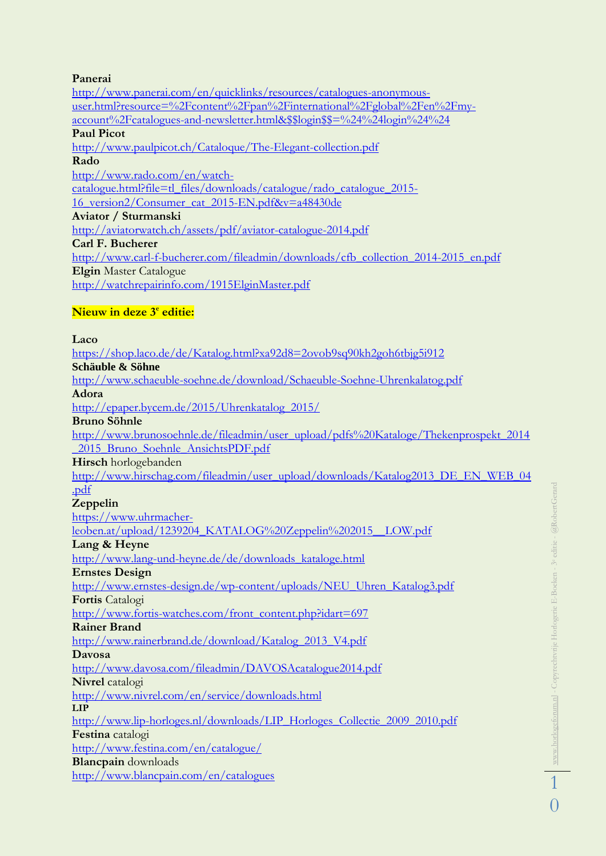#### **Panerai**

[http://www.panerai.com/en/quicklinks/resources/catalogues-anonymous](http://www.panerai.com/en/quicklinks/resources/catalogues-anonymous-user.html?resource=%2Fcontent%2Fpan%2Finternational%2Fglobal%2Fen%2Fmy-account%2Fcatalogues-and-newsletter.html&$$login$$=%24%24login%24%24)[user.html?resource=%2Fcontent%2Fpan%2Finternational%2Fglobal%2Fen%2Fmy](http://www.panerai.com/en/quicklinks/resources/catalogues-anonymous-user.html?resource=%2Fcontent%2Fpan%2Finternational%2Fglobal%2Fen%2Fmy-account%2Fcatalogues-and-newsletter.html&$$login$$=%24%24login%24%24)[account%2Fcatalogues-and-newsletter.html&\\$\\$login\\$\\$=%24%24login%24%24](http://www.panerai.com/en/quicklinks/resources/catalogues-anonymous-user.html?resource=%2Fcontent%2Fpan%2Finternational%2Fglobal%2Fen%2Fmy-account%2Fcatalogues-and-newsletter.html&$$login$$=%24%24login%24%24) **Paul Picot** <http://www.paulpicot.ch/Cataloque/The-Elegant-collection.pdf> **Rado** [http://www.rado.com/en/watch](http://www.rado.com/en/watch-catalogue.html?file=tl_files/downloads/catalogue/rado_catalogue_2015-16_version2/Consumer_cat_2015-EN.pdf&v=a48430de)[catalogue.html?file=tl\\_files/downloads/catalogue/rado\\_catalogue\\_2015-](http://www.rado.com/en/watch-catalogue.html?file=tl_files/downloads/catalogue/rado_catalogue_2015-16_version2/Consumer_cat_2015-EN.pdf&v=a48430de) [16\\_version2/Consumer\\_cat\\_2015-EN.pdf&v=a48430de](http://www.rado.com/en/watch-catalogue.html?file=tl_files/downloads/catalogue/rado_catalogue_2015-16_version2/Consumer_cat_2015-EN.pdf&v=a48430de) **Aviator / Sturmanski** <http://aviatorwatch.ch/assets/pdf/aviator-catalogue-2014.pdf> **Carl F. Bucherer** [http://www.carl-f-bucherer.com/fileadmin/downloads/cfb\\_collection\\_2014-2015\\_en.pdf](http://www.carl-f-bucherer.com/fileadmin/downloads/cfb_collection_2014-2015_en.pdf) **Elgin** Master Catalogue <http://watchrepairinfo.com/1915ElginMaster.pdf>

### $\overline{\text{Nieuw}}$  in deze 3<sup>e</sup> editie:

**Laco** <https://shop.laco.de/de/Katalog.html?xa92d8=2ovob9sq90kh2goh6tbjg5i912> **Schäuble & Söhne** <http://www.schaeuble-soehne.de/download/Schaeuble-Soehne-Uhrenkalatog.pdf> **Adora** [http://epaper.bycem.de/2015/Uhrenkatalog\\_2015/](http://epaper.bycem.de/2015/Uhrenkatalog_2015/) **Bruno Söhnle** [http://www.brunosoehnle.de/fileadmin/user\\_upload/pdfs%20Kataloge/Thekenprospekt\\_2014](http://www.brunosoehnle.de/fileadmin/user_upload/pdfs%20Kataloge/Thekenprospekt_2014_2015_Bruno_Soehnle_AnsichtsPDF.pdf) [\\_2015\\_Bruno\\_Soehnle\\_AnsichtsPDF.pdf](http://www.brunosoehnle.de/fileadmin/user_upload/pdfs%20Kataloge/Thekenprospekt_2014_2015_Bruno_Soehnle_AnsichtsPDF.pdf) **Hirsch** horlogebanden [http://www.hirschag.com/fileadmin/user\\_upload/downloads/Katalog2013\\_DE\\_EN\\_WEB\\_04](http://www.hirschag.com/fileadmin/user_upload/downloads/Katalog2013_DE_EN_WEB_04.pdf) [.pdf](http://www.hirschag.com/fileadmin/user_upload/downloads/Katalog2013_DE_EN_WEB_04.pdf) **Zeppelin** [https://www.uhrmacher](https://www.uhrmacher-leoben.at/upload/1239204_KATALOG%20Zeppelin%202015__LOW.pdf)[leoben.at/upload/1239204\\_KATALOG%20Zeppelin%202015\\_\\_LOW.pdf](https://www.uhrmacher-leoben.at/upload/1239204_KATALOG%20Zeppelin%202015__LOW.pdf) **Lang & Heyne** [http://www.lang-und-heyne.de/de/downloads\\_kataloge.html](http://www.lang-und-heyne.de/de/downloads_kataloge.html) **Ernstes Design** [http://www.ernstes-design.de/wp-content/uploads/NEU\\_Uhren\\_Katalog3.pdf](http://www.ernstes-design.de/wp-content/uploads/NEU_Uhren_Katalog3.pdf) **Fortis** Catalogi [http://www.fortis-watches.com/front\\_content.php?idart=697](http://www.fortis-watches.com/front_content.php?idart=697) **Rainer Brand** [http://www.rainerbrand.de/download/Katalog\\_2013\\_V4.pdf](http://www.rainerbrand.de/download/Katalog_2013_V4.pdf) **Davosa** <http://www.davosa.com/fileadmin/DAVOSAcatalogue2014.pdf> **Nivrel** catalogi <http://www.nivrel.com/en/service/downloads.html> **LIP** [http://www.lip-horloges.nl/downloads/LIP\\_Horloges\\_Collectie\\_2009\\_2010.pdf](http://www.lip-horloges.nl/downloads/LIP_Horloges_Collectie_2009_2010.pdf) **Festina** catalogi <http://www.festina.com/en/catalogue/> **Blancpain** downloads <http://www.blancpain.com/en/catalogues>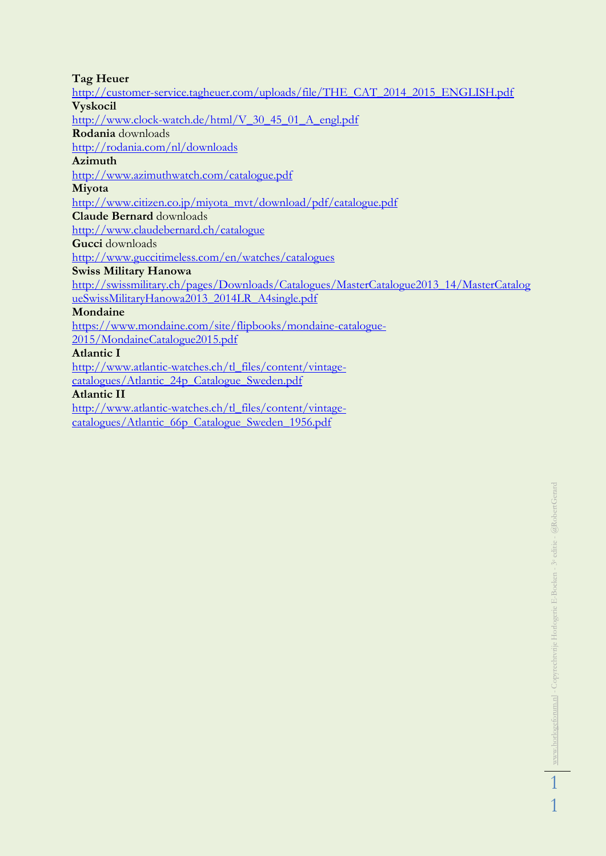#### **Tag Heuer**

[http://customer-service.tagheuer.com/uploads/file/THE\\_CAT\\_2014\\_2015\\_ENGLISH.pdf](http://customer-service.tagheuer.com/uploads/file/THE_CAT_2014_2015_ENGLISH.pdf) **Vyskocil** [http://www.clock-watch.de/html/V\\_30\\_45\\_01\\_A\\_engl.pdf](http://www.clock-watch.de/html/V_30_45_01_A_engl.pdf) **Rodania** downloads <http://rodania.com/nl/downloads> **Azimuth** <http://www.azimuthwatch.com/catalogue.pdf> **Miyota** [http://www.citizen.co.jp/miyota\\_mvt/download/pdf/catalogue.pdf](http://www.citizen.co.jp/miyota_mvt/download/pdf/catalogue.pdf) **Claude Bernard** downloads <http://www.claudebernard.ch/catalogue> **Gucci** downloads <http://www.guccitimeless.com/en/watches/catalogues> **Swiss Military Hanowa** [http://swissmilitary.ch/pages/Downloads/Catalogues/MasterCatalogue2013\\_14/MasterCatalog](http://swissmilitary.ch/pages/Downloads/Catalogues/MasterCatalogue2013_14/MasterCatalogueSwissMilitaryHanowa2013_2014LR_A4single.pdf) [ueSwissMilitaryHanowa2013\\_2014LR\\_A4single.pdf](http://swissmilitary.ch/pages/Downloads/Catalogues/MasterCatalogue2013_14/MasterCatalogueSwissMilitaryHanowa2013_2014LR_A4single.pdf) **Mondaine** [https://www.mondaine.com/site/flipbooks/mondaine-catalogue-](https://www.mondaine.com/site/flipbooks/mondaine-catalogue-2015/MondaineCatalogue2015.pdf)[2015/MondaineCatalogue2015.pdf](https://www.mondaine.com/site/flipbooks/mondaine-catalogue-2015/MondaineCatalogue2015.pdf)

#### **Atlantic I**

[http://www.atlantic-watches.ch/tl\\_files/content/vintage](http://www.atlantic-watches.ch/tl_files/content/vintage-catalogues/Atlantic_24p_Catalogue_Sweden.pdf)[catalogues/Atlantic\\_24p\\_Catalogue\\_Sweden.pdf](http://www.atlantic-watches.ch/tl_files/content/vintage-catalogues/Atlantic_24p_Catalogue_Sweden.pdf)

#### **Atlantic II**

[http://www.atlantic-watches.ch/tl\\_files/content/vintage](http://www.atlantic-watches.ch/tl_files/content/vintage-catalogues/Atlantic_66p_Catalogue_Sweden_1956.pdf)[catalogues/Atlantic\\_66p\\_Catalogue\\_Sweden\\_1956.pdf](http://www.atlantic-watches.ch/tl_files/content/vintage-catalogues/Atlantic_66p_Catalogue_Sweden_1956.pdf)

1

1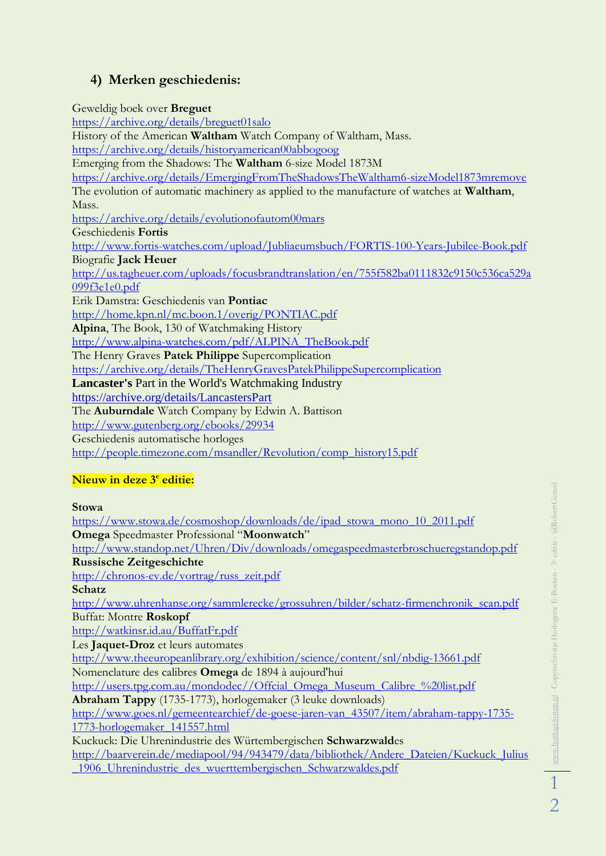# **4) Merken geschiedenis:**

Geweldig boek over **Breguet** <https://archive.org/details/breguet01salo> History of the American **Waltham** Watch Company of Waltham, Mass. <https://archive.org/details/historyamerican00abbogoog> Emerging from the Shadows: The **Waltham** 6-size Model 1873M <https://archive.org/details/EmergingFromTheShadowsTheWaltham6-sizeModel1873mremove> The evolution of automatic machinery as applied to the manufacture of watches at **Waltham**, Mass. <https://archive.org/details/evolutionofautom00mars> Geschiedenis **Fortis** <http://www.fortis-watches.com/upload/Jubliaeumsbuch/FORTIS-100-Years-Jubilee-Book.pdf> Biografie **Jack Heuer** [http://us.tagheuer.com/uploads/focusbrandtranslation/en/755f582ba0111832c9150c536ca529a](http://us.tagheuer.com/uploads/focusbrandtranslation/en/755f582ba0111832c9150c536ca529a099f3e1e0.pdf) [099f3e1e0.pdf](http://us.tagheuer.com/uploads/focusbrandtranslation/en/755f582ba0111832c9150c536ca529a099f3e1e0.pdf) Erik Damstra: Geschiedenis van **Pontiac** <http://home.kpn.nl/mc.boon.1/overig/PONTIAC.pdf> **Alpina**, The Book, 130 of Watchmaking History [http://www.alpina-watches.com/pdf/ALPINA\\_TheBook.pdf](http://www.alpina-watches.com/pdf/ALPINA_TheBook.pdf) The Henry Graves **Patek Philippe** Supercomplication <https://archive.org/details/TheHenryGravesPatekPhilippeSupercomplication> **Lancaster's** Part in the World's Watchmaking Industry <https://archive.org/details/LancastersPart> The **Auburndale** Watch Company by Edwin A. Battison <http://www.gutenberg.org/ebooks/29934> Geschiedenis automatische horloges [http://people.timezone.com/msandler/Revolution/comp\\_history15.pdf](http://people.timezone.com/msandler/Revolution/comp_history15.pdf)

### $\overline{\text{Nieuw}}$  in deze 3<sup>e</sup> editie:

**Stowa**

[https://www.stowa.de/cosmoshop/downloads/de/ipad\\_stowa\\_mono\\_10\\_2011.pdf](https://www.stowa.de/cosmoshop/downloads/de/ipad_stowa_mono_10_2011.pdf) **Omega** Speedmaster Professional "**Moonwatch**" <http://www.standop.net/Uhren/Div/downloads/omegaspeedmasterbroschueregstandop.pdf> **Russische Zeitgeschichte** [http://chronos-ev.de/vortrag/russ\\_zeit.pdf](http://chronos-ev.de/vortrag/russ_zeit.pdf) **Schatz** [http://www.uhrenhanse.org/sammlerecke/grossuhren/bilder/schatz-firmenchronik\\_scan.pdf](http://www.uhrenhanse.org/sammlerecke/grossuhren/bilder/schatz-firmenchronik_scan.pdf) Buffat: Montre **Roskopf** <http://watkinsr.id.au/BuffatFr.pdf> Les **Jaquet-Droz** et leurs automates <http://www.theeuropeanlibrary.org/exhibition/science/content/snl/nbdig-13661.pdf> Nomenclature des calibres **Omega** de 1894 à aujourd'hui [http://users.tpg.com.au/mondodec//Offcial\\_Omega\\_Museum\\_Calibre\\_%20list.pdf](http://users.tpg.com.au/mondodec/Offcial_Omega_Museum_Calibre_%20list.pdf) **Abraham Tappy** (1735-1773), horlogemaker (3 leuke downloads) [http://www.goes.nl/gemeentearchief/de-goese-jaren-van\\_43507/item/abraham-tappy-1735-](http://www.goes.nl/gemeentearchief/de-goese-jaren-van_43507/item/abraham-tappy-1735-1773-horlogemaker_141557.html) [1773-horlogemaker\\_141557.html](http://www.goes.nl/gemeentearchief/de-goese-jaren-van_43507/item/abraham-tappy-1735-1773-horlogemaker_141557.html) Kuckuck: Die Uhrenindustrie des Würtembergischen **Schwarzwald**es [http://baarverein.de/mediapool/94/943479/data/bibliothek/Andere\\_Dateien/Kuckuck\\_Julius](http://baarverein.de/mediapool/94/943479/data/bibliothek/Andere_Dateien/Kuckuck_Julius_1906_Uhrenindustrie_des_wuerttembergischen_Schwarzwaldes.pdf) [\\_1906\\_Uhrenindustrie\\_des\\_wuerttembergischen\\_Schwarzwaldes.pdf](http://baarverein.de/mediapool/94/943479/data/bibliothek/Andere_Dateien/Kuckuck_Julius_1906_Uhrenindustrie_des_wuerttembergischen_Schwarzwaldes.pdf)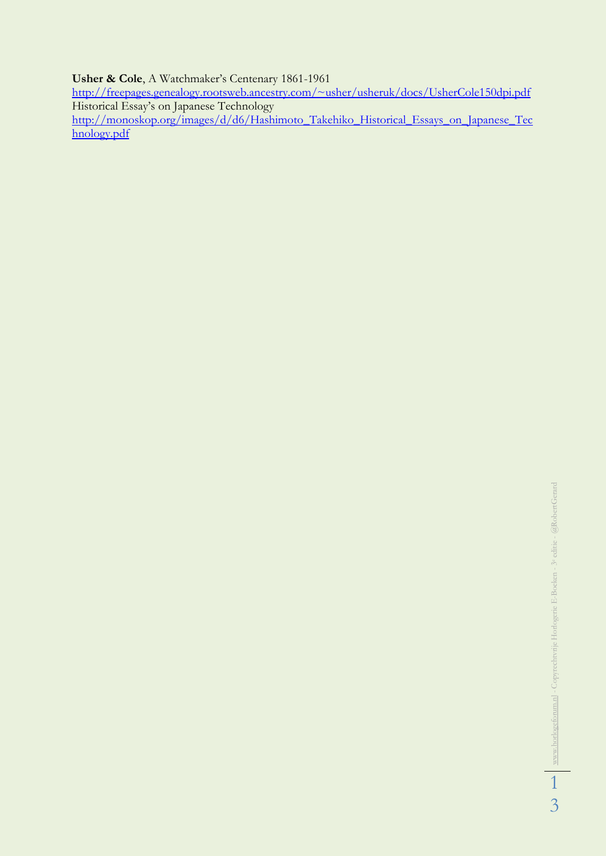#### **Usher & Cole**, A Watchmaker's Centenary 1861-1961

<http://freepages.genealogy.rootsweb.ancestry.com/~usher/usheruk/docs/UsherCole150dpi.pdf> Historical Essay's on Japanese Technology [http://monoskop.org/images/d/d6/Hashimoto\\_Takehiko\\_Historical\\_Essays\\_on\\_Japanese\\_Tec](http://monoskop.org/images/d/d6/Hashimoto_Takehiko_Historical_Essays_on_Japanese_Technology.pdf) [hnology.pdf](http://monoskop.org/images/d/d6/Hashimoto_Takehiko_Historical_Essays_on_Japanese_Technology.pdf)

3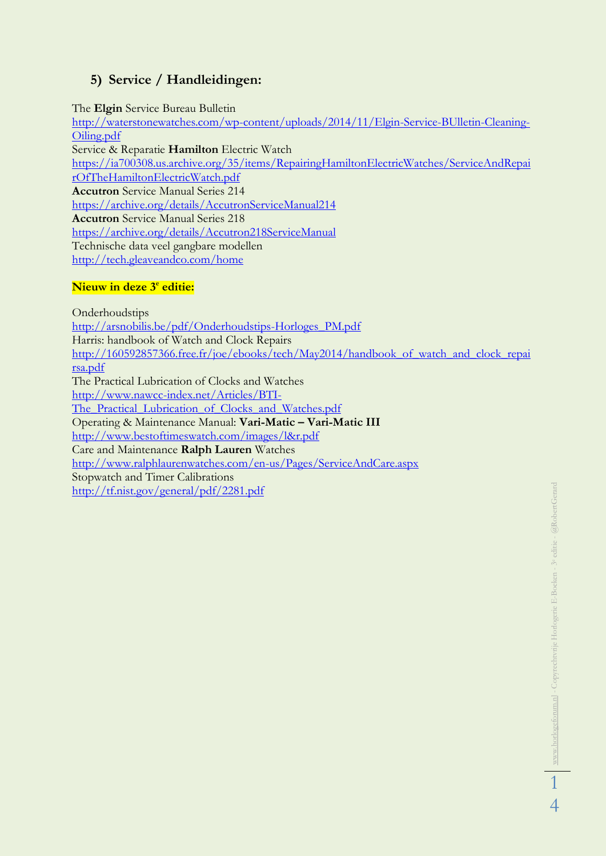### **5) Service / Handleidingen:**

The **Elgin** Service Bureau Bulletin [http://waterstonewatches.com/wp-content/uploads/2014/11/Elgin-Service-BUlletin-Cleaning-](http://waterstonewatches.com/wp-content/uploads/2014/11/Elgin-Service-BUlletin-Cleaning-Oiling.pdf)[Oiling.pdf](http://waterstonewatches.com/wp-content/uploads/2014/11/Elgin-Service-BUlletin-Cleaning-Oiling.pdf) Service & Reparatie **Hamilton** Electric Watch [https://ia700308.us.archive.org/35/items/RepairingHamiltonElectricWatches/ServiceAndRepai](https://ia700308.us.archive.org/35/items/RepairingHamiltonElectricWatches/ServiceAndRepairOfTheHamiltonElectricWatch.pdf) [rOfTheHamiltonElectricWatch.pdf](https://ia700308.us.archive.org/35/items/RepairingHamiltonElectricWatches/ServiceAndRepairOfTheHamiltonElectricWatch.pdf) **Accutron** Service Manual Series 214 <https://archive.org/details/AccutronServiceManual214> **Accutron** Service Manual Series 218 <https://archive.org/details/Accutron218ServiceManual> Technische data veel gangbare modellen <http://tech.gleaveandco.com/home>

### $\overline{\text{Nieuw}}$  in deze 3<sup>e</sup> editie:

Onderhoudstips [http://arsnobilis.be/pdf/Onderhoudstips-Horloges\\_PM.pdf](http://arsnobilis.be/pdf/Onderhoudstips-Horloges_PM.pdf) Harris: handbook of Watch and Clock Repairs http://160592857366.free.fr/joe/ebooks/tech/May2014/handbook of watch and clock repai [rsa.pdf](http://160592857366.free.fr/joe/ebooks/tech/May2014/handbook_of_watch_and_clock_repairsa.pdf) The Practical Lubrication of Clocks and Watches [http://www.nawcc-index.net/Articles/BTI-](http://www.nawcc-index.net/Articles/BTI-The_Practical_Lubrication_of_Clocks_and_Watches.pdf)The Practical Lubrication of Clocks and Watches.pdf Operating & Maintenance Manual: **Vari-Matic – Vari-Matic III** <http://www.bestoftimeswatch.com/images/l&r.pdf> Care and Maintenance **Ralph Lauren** Watches <http://www.ralphlaurenwatches.com/en-us/Pages/ServiceAndCare.aspx> Stopwatch and Timer Calibrations <http://tf.nist.gov/general/pdf/2281.pdf>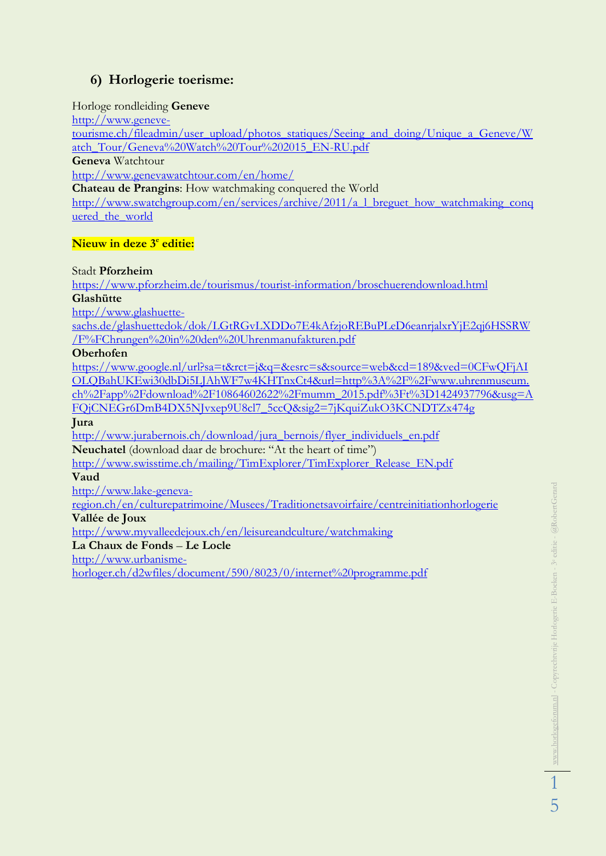### **6) Horlogerie toerisme:**

#### Horloge rondleiding **Geneve**

[http://www.geneve](http://www.geneve-tourisme.ch/fileadmin/user_upload/photos_statiques/Seeing_and_doing/Unique_a_Geneve/Watch_Tour/Geneva%20Watch%20Tour%202015_EN-RU.pdf)[tourisme.ch/fileadmin/user\\_upload/photos\\_statiques/Seeing\\_and\\_doing/Unique\\_a\\_Geneve/W](http://www.geneve-tourisme.ch/fileadmin/user_upload/photos_statiques/Seeing_and_doing/Unique_a_Geneve/Watch_Tour/Geneva%20Watch%20Tour%202015_EN-RU.pdf) [atch\\_Tour/Geneva%20Watch%20Tour%202015\\_EN-RU.pdf](http://www.geneve-tourisme.ch/fileadmin/user_upload/photos_statiques/Seeing_and_doing/Unique_a_Geneve/Watch_Tour/Geneva%20Watch%20Tour%202015_EN-RU.pdf) **Geneva** Watchtour <http://www.genevawatchtour.com/en/home/> **Chateau de Prangins**: How watchmaking conquered the World [http://www.swatchgroup.com/en/services/archive/2011/a\\_l\\_breguet\\_how\\_watchmaking\\_conq](http://www.swatchgroup.com/en/services/archive/2011/a_l_breguet_how_watchmaking_conquered_the_world) [uered\\_the\\_world](http://www.swatchgroup.com/en/services/archive/2011/a_l_breguet_how_watchmaking_conquered_the_world)

#### $\overline{\text{Nieuw}}$  in deze 3<sup>e</sup> editie:

Stadt **Pforzheim**

<https://www.pforzheim.de/tourismus/tourist-information/broschuerendownload.html> **Glashütte**

[http://www.glashuette-](http://www.glashuette-sachs.de/glashuettedok/dok/LGtRGvLXDDo7E4kAfzjoREBuPLeD6eanrjalxrYjE2qj6HSSRW/F%FChrungen%20in%20den%20Uhrenmanufakturen.pdf)

[sachs.de/glashuettedok/dok/LGtRGvLXDDo7E4kAfzjoREBuPLeD6eanrjalxrYjE2qj6HSSRW](http://www.glashuette-sachs.de/glashuettedok/dok/LGtRGvLXDDo7E4kAfzjoREBuPLeD6eanrjalxrYjE2qj6HSSRW/F%FChrungen%20in%20den%20Uhrenmanufakturen.pdf) [/F%FChrungen%20in%20den%20Uhrenmanufakturen.pdf](http://www.glashuette-sachs.de/glashuettedok/dok/LGtRGvLXDDo7E4kAfzjoREBuPLeD6eanrjalxrYjE2qj6HSSRW/F%FChrungen%20in%20den%20Uhrenmanufakturen.pdf)

**Oberhofen**

[https://www.google.nl/url?sa=t&rct=j&q=&esrc=s&source=web&cd=189&ved=0CFwQFjAI](https://www.google.nl/url?sa=t&rct=j&q=&esrc=s&source=web&cd=189&ved=0CFwQFjAIOLQBahUKEwi30dbDi5LJAhWF7w4KHTnxCt4&url=http%3A%2F%2Fwww.uhrenmuseum.ch%2Fapp%2Fdownload%2F10864602622%2Fmumm_2015.pdf%3Ft%3D1424937796&usg=AFQjCNEGr6DmB4DX5NJvxep9U8cl7_5ccQ&sig2=7jKquiZukO3KCNDTZx474g) [OLQBahUKEwi30dbDi5LJAhWF7w4KHTnxCt4&url=http%3A%2F%2Fwww.uhrenmuseum.](https://www.google.nl/url?sa=t&rct=j&q=&esrc=s&source=web&cd=189&ved=0CFwQFjAIOLQBahUKEwi30dbDi5LJAhWF7w4KHTnxCt4&url=http%3A%2F%2Fwww.uhrenmuseum.ch%2Fapp%2Fdownload%2F10864602622%2Fmumm_2015.pdf%3Ft%3D1424937796&usg=AFQjCNEGr6DmB4DX5NJvxep9U8cl7_5ccQ&sig2=7jKquiZukO3KCNDTZx474g) [ch%2Fapp%2Fdownload%2F10864602622%2Fmumm\\_2015.pdf%3Ft%3D1424937796&usg=A](https://www.google.nl/url?sa=t&rct=j&q=&esrc=s&source=web&cd=189&ved=0CFwQFjAIOLQBahUKEwi30dbDi5LJAhWF7w4KHTnxCt4&url=http%3A%2F%2Fwww.uhrenmuseum.ch%2Fapp%2Fdownload%2F10864602622%2Fmumm_2015.pdf%3Ft%3D1424937796&usg=AFQjCNEGr6DmB4DX5NJvxep9U8cl7_5ccQ&sig2=7jKquiZukO3KCNDTZx474g) [FQjCNEGr6DmB4DX5NJvxep9U8cl7\\_5ccQ&sig2=7jKquiZukO3KCNDTZx474g](https://www.google.nl/url?sa=t&rct=j&q=&esrc=s&source=web&cd=189&ved=0CFwQFjAIOLQBahUKEwi30dbDi5LJAhWF7w4KHTnxCt4&url=http%3A%2F%2Fwww.uhrenmuseum.ch%2Fapp%2Fdownload%2F10864602622%2Fmumm_2015.pdf%3Ft%3D1424937796&usg=AFQjCNEGr6DmB4DX5NJvxep9U8cl7_5ccQ&sig2=7jKquiZukO3KCNDTZx474g)

**Jura**

[http://www.jurabernois.ch/download/jura\\_bernois/flyer\\_individuels\\_en.pdf](http://www.jurabernois.ch/download/jura_bernois/flyer_individuels_en.pdf) **Neuchatel** (download daar de brochure: "At the heart of time")

[http://www.swisstime.ch/mailing/TimExplorer/TimExplorer\\_Release\\_EN.pdf](http://www.swisstime.ch/mailing/TimExplorer/TimExplorer_Release_EN.pdf)

**Vaud**

[http://www.lake-geneva-](http://www.lake-geneva-region.ch/en/culturepatrimoine/Musees/Traditionetsavoirfaire/centreinitiationhorlogerie)

[region.ch/en/culturepatrimoine/Musees/Traditionetsavoirfaire/centreinitiationhorlogerie](http://www.lake-geneva-region.ch/en/culturepatrimoine/Musees/Traditionetsavoirfaire/centreinitiationhorlogerie)

**Vallée de Joux**

<http://www.myvalleedejoux.ch/en/leisureandculture/watchmaking>

**La Chaux de Fonds** – **Le Locle**

[http://www.urbanisme-](http://www.urbanisme-horloger.ch/d2wfiles/document/590/8023/0/internet%20programme.pdf)

[horloger.ch/d2wfiles/document/590/8023/0/internet%20programme.pdf](http://www.urbanisme-horloger.ch/d2wfiles/document/590/8023/0/internet%20programme.pdf)